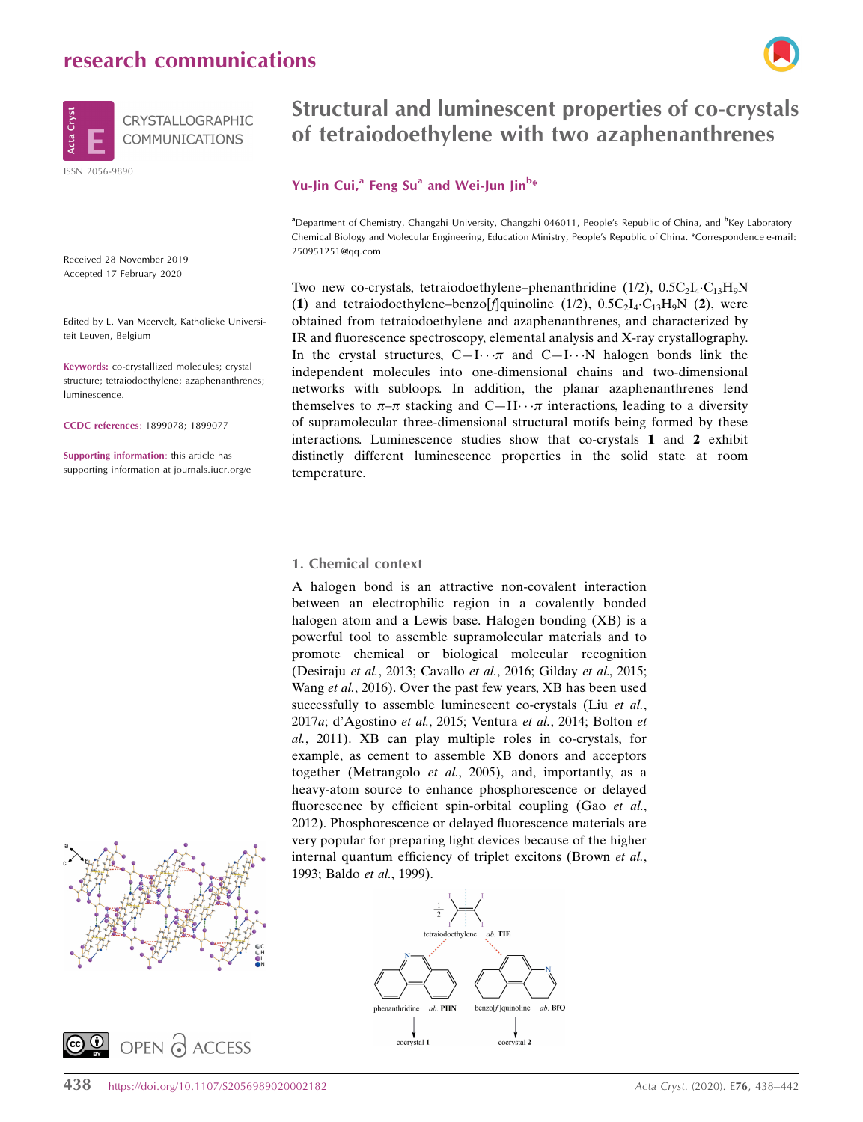

Received 28 November 2019 Accepted 17 February 2020

Edited by L. Van Meervelt, Katholieke Universiteit Leuven, Belgium

Keywords: co-crystallized molecules; crystal structure; tetraiodoethylene; azaphenanthrenes; luminescence.

CCDC references: 1899078; 1899077

Supporting information: this article has supporting information at journals.iucr.org/e





# Structural and luminescent properties of co-crystals of tetraiodoethylene with two azaphenanthrenes

# Yu-Jin Cui,<sup>a</sup> Feng Su<sup>a</sup> and Wei-Jun Jin<sup>b\*</sup>

<sup>a</sup>Department of Chemistry, Changzhi University, Changzhi 046011, People's Republic of China, and <sup>b</sup>Key Laboratory Chemical Biology and Molecular Engineering, Education Ministry, People's Republic of China. \*Correspondence e-mail: 250951251@qq.com

Two new co-crystals, tetraiodoethylene-phenanthridine  $(1/2)$ ,  $0.5C_2I_4 \t C_{13}H_9N$ (1) and tetraiodoethylene-benzo[f]quinoline  $(1/2)$ ,  $0.5C_2I_4 \tC_{13}H_9N$  (2), were obtained from tetraiodoethylene and azaphenanthrenes, and characterized by IR and fluorescence spectroscopy, elemental analysis and X-ray crystallography. In the crystal structures,  $C-I \cdots \pi$  and  $C-I \cdots N$  halogen bonds link the independent molecules into one-dimensional chains and two-dimensional networks with subloops. In addition, the planar azaphenanthrenes lend themselves to  $\pi-\pi$  stacking and C-H $\cdots$  interactions, leading to a diversity of supramolecular three-dimensional structural motifs being formed by these interactions. Luminescence studies show that co-crystals 1 and 2 exhibit distinctly different luminescence properties in the solid state at room temperature.

### 1. Chemical context

A halogen bond is an attractive non-covalent interaction between an electrophilic region in a covalently bonded halogen atom and a Lewis base. Halogen bonding (XB) is a powerful tool to assemble supramolecular materials and to promote chemical or biological molecular recognition (Desiraju et al., 2013; Cavallo et al., 2016; Gilday et al., 2015; Wang et al., 2016). Over the past few years, XB has been used successfully to assemble luminescent co-crystals (Liu et al., 2017a; d'Agostino et al., 2015; Ventura et al., 2014; Bolton et al., 2011). XB can play multiple roles in co-crystals, for example, as cement to assemble XB donors and acceptors together (Metrangolo et al., 2005), and, importantly, as a heavy-atom source to enhance phosphorescence or delayed fluorescence by efficient spin-orbital coupling (Gao et al., 2012). Phosphorescence or delayed fluorescence materials are very popular for preparing light devices because of the higher internal quantum efficiency of triplet excitons (Brown et al., 1993; Baldo et al., 1999).

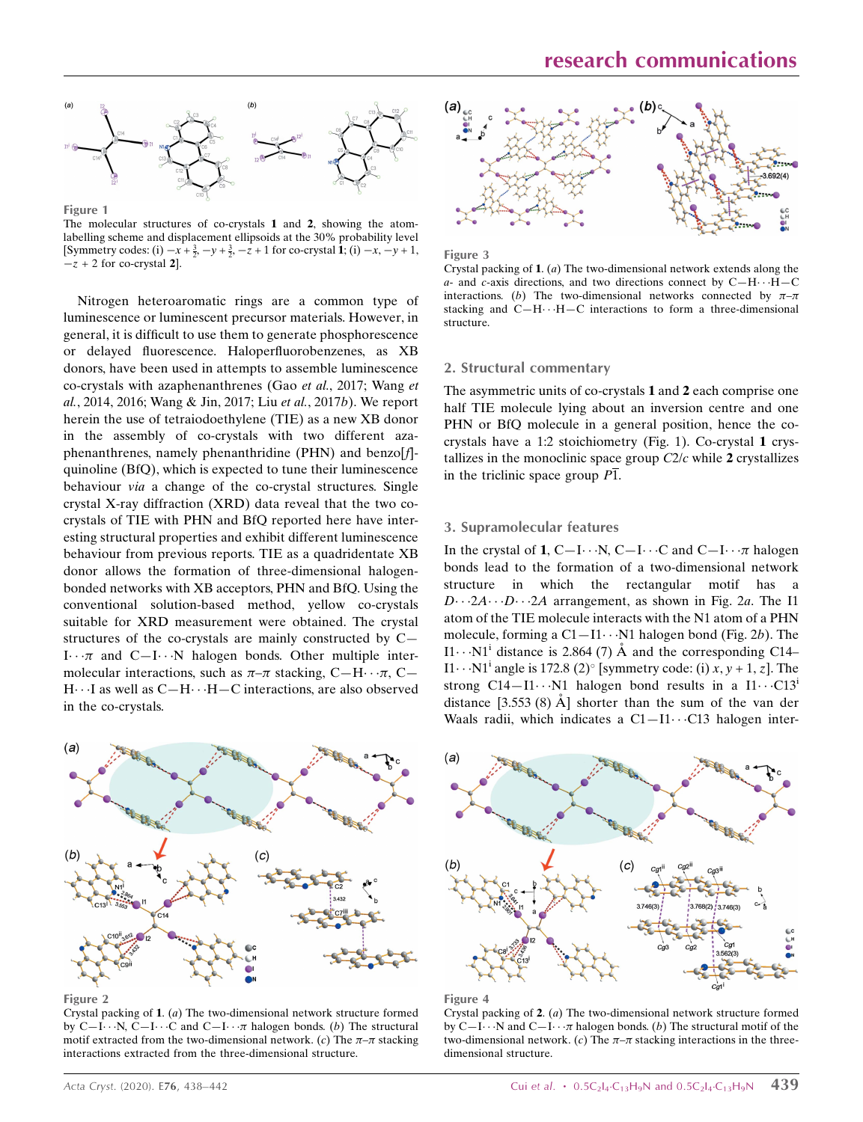

Figure 1 The molecular structures of co-crystals 1 and 2, showing the atomlabelling scheme and displacement ellipsoids at the 30% probability level [Symmetry codes: (i)  $-x + \frac{3}{2}$ ,  $-y + \frac{3}{2}$ ,  $-z + 1$  for co-crystal 1; (i)  $-x$ ,  $-y + 1$ ,  $-z + 2$  for co-crystal 2.

Nitrogen heteroaromatic rings are a common type of luminescence or luminescent precursor materials. However, in general, it is difficult to use them to generate phosphorescence or delayed fluorescence. Haloperfluorobenzenes, as XB donors, have been used in attempts to assemble luminescence co-crystals with azaphenanthrenes (Gao et al., 2017; Wang et al., 2014, 2016; Wang & Jin, 2017; Liu et al., 2017b). We report herein the use of tetraiodoethylene (TIE) as a new XB donor in the assembly of co-crystals with two different azaphenanthrenes, namely phenanthridine (PHN) and benzo[f] quinoline (BfQ), which is expected to tune their luminescence behaviour *via* a change of the co-crystal structures. Single crystal X-ray diffraction (XRD) data reveal that the two cocrystals of TIE with PHN and BfQ reported here have interesting structural properties and exhibit different luminescence behaviour from previous reports. TIE as a quadridentate XB donor allows the formation of three-dimensional halogenbonded networks with XB acceptors, PHN and BfQ. Using the conventional solution-based method, yellow co-crystals suitable for XRD measurement were obtained. The crystal structures of the co-crystals are mainly constructed by C—  $I \cdots \pi$  and  $C-I \cdots N$  halogen bonds. Other multiple intermolecular interactions, such as  $\pi-\pi$  stacking, C-H $\cdots$  $\pi$ , C-H···I as well as C-H···H-C interactions, are also observed in the co-crystals.



Figure 2

Crystal packing of 1. (a) The two-dimensional network structure formed by C-I $\cdots$ N, C-I $\cdots$ C and C-I $\cdots$  $\pi$  halogen bonds. (b) The structural motif extracted from the two-dimensional network. (c) The  $\pi-\pi$  stacking interactions extracted from the three-dimensional structure.



Figure 3

Crystal packing of 1. (a) The two-dimensional network extends along the a- and c-axis directions, and two directions connect by  $C-H \cdot \cdot \cdot H-C$ interactions. (b) The two-dimensional networks connected by  $\pi-\pi$ stacking and  $C-H\cdots H-C$  interactions to form a three-dimensional structure.

### 2. Structural commentary

The asymmetric units of co-crystals 1 and 2 each comprise one half TIE molecule lying about an inversion centre and one PHN or BfQ molecule in a general position, hence the cocrystals have a 1:2 stoichiometry (Fig. 1). Co-crystal 1 crystallizes in the monoclinic space group  $C2/c$  while 2 crystallizes in the triclinic space group  $\overline{P1}$ .

#### 3. Supramolecular features

In the crystal of 1, C-I $\cdots$ N, C-I $\cdots$ C and C-I $\cdots$  $\pi$  halogen bonds lead to the formation of a two-dimensional network structure in which the rectangular motif has a  $D \cdots 2A \cdots D \cdots 2A$  arrangement, as shown in Fig. 2a. The I1 atom of the TIE molecule interacts with the N1 atom of a PHN molecule, forming a  $C1 - I1 \cdots N1$  halogen bond (Fig. 2b). The I1... N1<sup>i</sup> distance is 2.864 (7)  $\AA$  and the corresponding C14– I1···N1<sup>i</sup> angle is 172.8 (2)° [symmetry code: (i)  $x, y + 1, z$ ]. The strong  $C14 - I1 \cdots N1$  halogen bond results in a  $I1 \cdots C13$ distance  $[3.553 (8)$  Å ] shorter than the sum of the van der Waals radii, which indicates a  $C1 - I1 \cdots C13$  halogen inter-





Crystal packing of 2. (a) The two-dimensional network structure formed by C-I $\cdots$ N and C-I $\cdots$  $\pi$  halogen bonds. (b) The structural motif of the two-dimensional network. (c) The  $\pi-\pi$  stacking interactions in the threedimensional structure.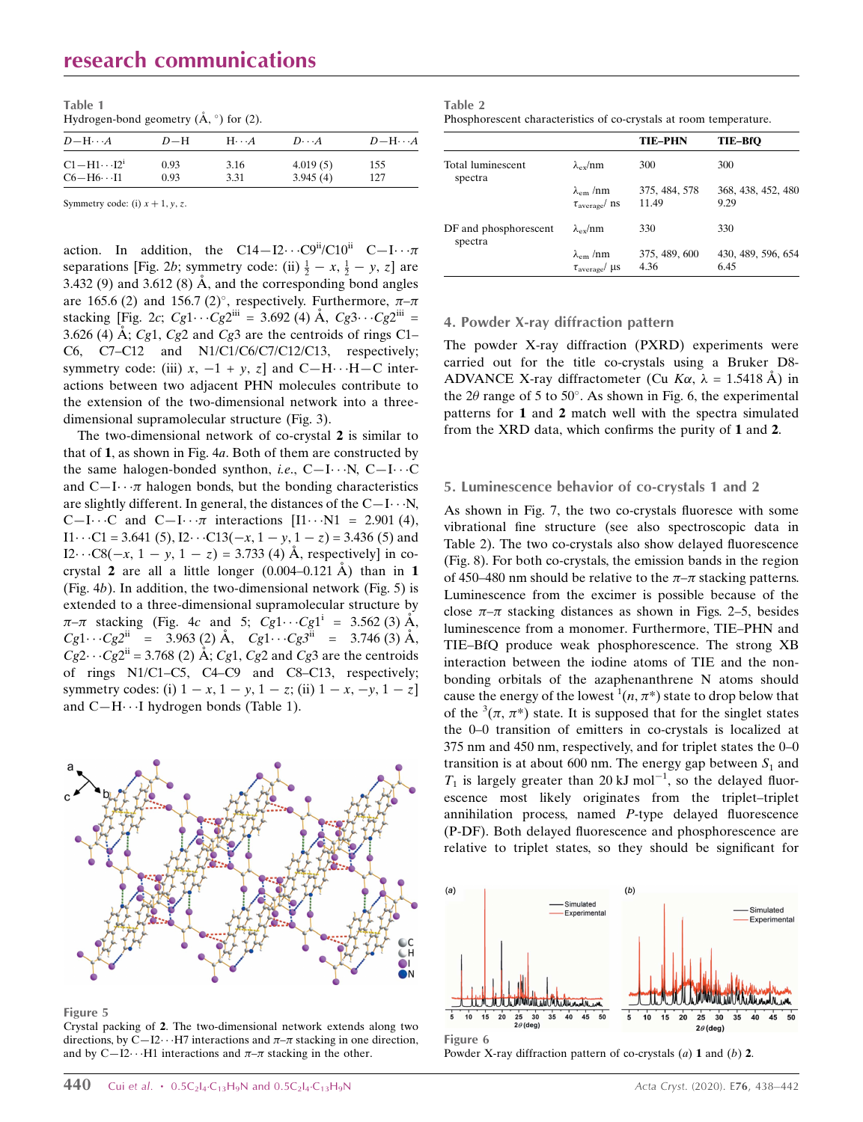# research communications

| Table 1                                                   |  |
|-----------------------------------------------------------|--|
| Hydrogen-bond geometry $(\mathring{A}, \degree)$ for (2). |  |

| $D-\mathrm{H}\cdots A$         | $D-H$ | $H\cdots A$ | $D\cdot\cdot\cdot A$ | $D-H\cdots A$ |
|--------------------------------|-------|-------------|----------------------|---------------|
| $Cl-H1\cdots I2^1$             | 0.93  | 3.16        | 4.019(5)             | 155           |
| $C6 - H6 \cdot \cdot \cdot 11$ | 0.93  | 3.31        | 3.945(4)             | 127           |

Symmetry code: (i)  $x + 1$ , y, z.

action. In addition, the C14–I2···C9<sup>ii</sup>/C10<sup>ii</sup> C–I··· $\pi$ separations [Fig. 2b; symmetry code: (ii)  $\frac{1}{2} - x$ ,  $\frac{1}{2} - y$ , z] are 3.432 (9) and 3.612 (8)  $\AA$ , and the corresponding bond angles are 165.6 (2) and 156.7 (2)°, respectively. Furthermore,  $\pi-\pi$ stacking [Fig. 2c;  $Cg1 \cdots Cg2^{iii} = 3.692 \text{ (4) Å}, Cg3 \cdots Cg2^{iii} =$ 3.626 (4) Å; Cg1, Cg2 and Cg3 are the centroids of rings C1– C6, C7–C12 and N1/C1/C6/C7/C12/C13, respectively; symmetry code: (iii)  $x$ ,  $-1 + y$ ,  $z$  and  $C-H \cdots H-C$  interactions between two adjacent PHN molecules contribute to the extension of the two-dimensional network into a threedimensional supramolecular structure (Fig. 3).

The two-dimensional network of co-crystal 2 is similar to that of 1, as shown in Fig. 4a. Both of them are constructed by the same halogen-bonded synthon, *i.e.*, C-I $\cdots$ N, C-I $\cdots$ C and  $C-I \cdot \cdot \pi$  halogen bonds, but the bonding characteristics are slightly different. In general, the distances of the  $C-I\cdots N$ , C-I $\cdots$ C and C-I $\cdots \pi$  interactions [I1 $\cdots$ N1 = 2.901 (4),  $I1 \cdots C1 = 3.641 (5), I2 \cdots C13(-x, 1 - y, 1 - z) = 3.436 (5)$  and  $I2 \cdots C8(-x, 1 - y, 1 - z) = 3.733$  (4) Å, respectively] in cocrystal 2 are all a little longer  $(0.004 - 0.121 \text{ Å})$  than in 1 (Fig.  $4b$ ). In addition, the two-dimensional network (Fig. 5) is extended to a three-dimensional supramolecular structure by  $\pi-\pi$  stacking (Fig. 4c and 5;  $Cg1 \cdots Cg1^{i} = 3.562$  (3) Å,  $Cg1 \cdots Cg2^{ii} = 3.963(2) \text{ Å}, \quad Cg1 \cdots Cg3^{ii} = 3.746(3) \text{ Å},$  $Cg2 \cdot Cg2^{ii} = 3.768$  (2) Å; Cg1, Cg2 and Cg3 are the centroids of rings N1/C1–C5, C4–C9 and C8–C13, respectively; symmetry codes: (i)  $1 - x$ ,  $1 - y$ ,  $1 - z$ ; (ii)  $1 - x$ ,  $-y$ ,  $1 - z$ ] and C-H···I hydrogen bonds (Table 1).



Figure 5

Crystal packing of 2. The two-dimensional network extends along two directions, by C-I2··· H7 interactions and  $\pi-\pi$  stacking in one direction, and by C-I2··· H1 interactions and  $\pi-\pi$  stacking in the other.

| Table 2                                                            |
|--------------------------------------------------------------------|
| Phosphorescent characteristics of co-crystals at room temperature. |

|                                  |                                                          | <b>TIE-PHN</b>         | TIE-BfO                    |
|----------------------------------|----------------------------------------------------------|------------------------|----------------------------|
| Total luminescent<br>spectra     | $\lambda_{\rm ev}/\rm nm$                                | 300                    | 300                        |
|                                  | $\lambda_{\rm em}$ /nm<br>$\tau_{\text{average}}$ ns     | 375, 484, 578<br>11.49 | 368, 438, 452, 480<br>9.29 |
| DF and phosphorescent<br>spectra | $\lambda_{\rm ex}/\rm nm$                                | 330                    | 330                        |
|                                  | $\lambda_{\rm em}$ /nm<br>$\tau_{\text{average}}/ \mu s$ | 375, 489, 600<br>4.36  | 430, 489, 596, 654<br>6.45 |

### 4. Powder X-ray diffraction pattern

The powder X-ray diffraction (PXRD) experiments were carried out for the title co-crystals using a Bruker D8- ADVANCE X-ray diffractometer (Cu  $K\alpha$ ,  $\lambda = 1.5418$  Å) in the 2 $\theta$  range of 5 to 50°. As shown in Fig. 6, the experimental patterns for 1 and 2 match well with the spectra simulated from the XRD data, which confirms the purity of 1 and 2.

#### 5. Luminescence behavior of co-crystals 1 and 2

As shown in Fig. 7, the two co-crystals fluoresce with some vibrational fine structure (see also spectroscopic data in Table 2). The two co-crystals also show delayed fluorescence (Fig. 8). For both co-crystals, the emission bands in the region of 450–480 nm should be relative to the  $\pi-\pi$  stacking patterns. Luminescence from the excimer is possible because of the close  $\pi-\pi$  stacking distances as shown in Figs. 2–5, besides luminescence from a monomer. Furthermore, TIE–PHN and TIE–BfQ produce weak phosphorescence. The strong XB interaction between the iodine atoms of TIE and the nonbonding orbitals of the azaphenanthrene N atoms should cause the energy of the lowest  $(n, \pi^*)$  state to drop below that of the  $(3(\pi, \pi^*))$  state. It is supposed that for the singlet states the 0–0 transition of emitters in co-crystals is localized at 375 nm and 450 nm, respectively, and for triplet states the 0–0 transition is at about 600 nm. The energy gap between  $S_1$  and  $T_1$  is largely greater than 20 kJ mol<sup>-1</sup>, so the delayed fluorescence most likely originates from the triplet–triplet annihilation process, named P-type delayed fluorescence (P-DF). Both delayed fluorescence and phosphorescence are relative to triplet states, so they should be significant for



Powder X-ray diffraction pattern of co-crystals  $(a)$  1 and  $(b)$  2.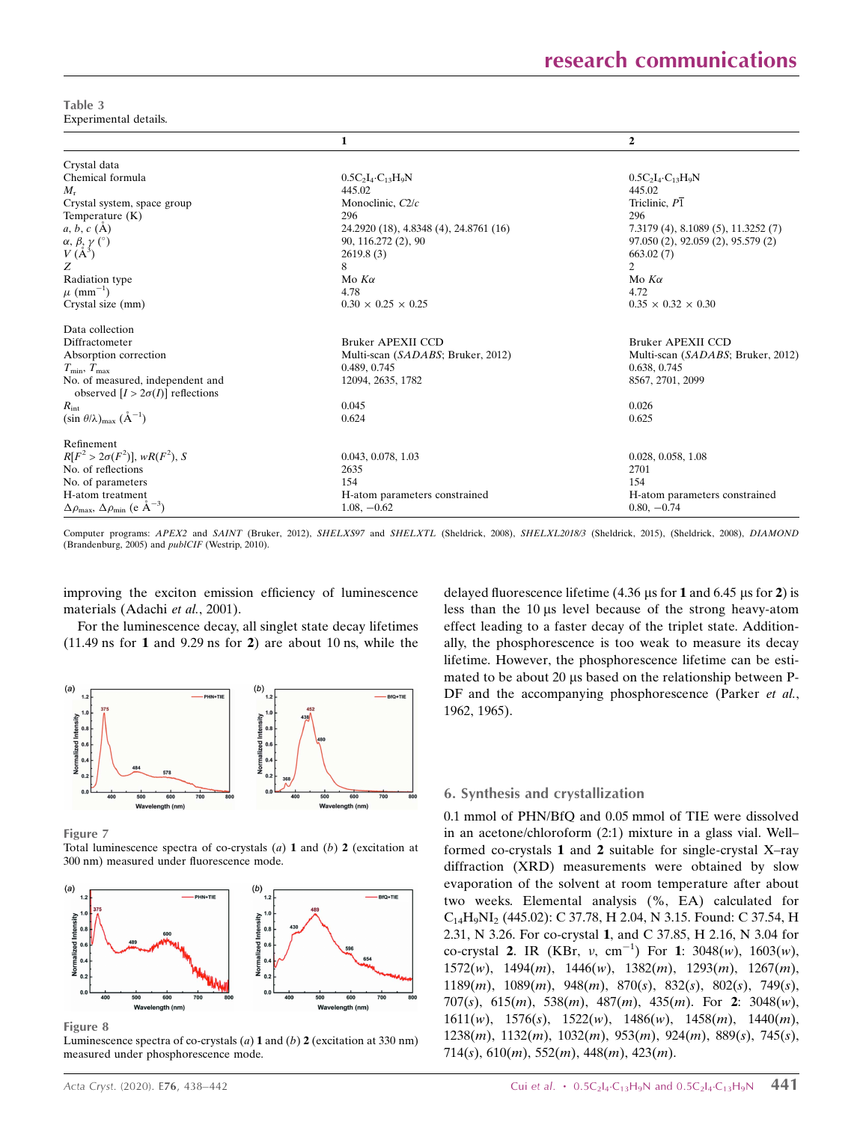Table 3 Experimental details.

|                                                                             | $\mathbf{1}$                           | $\mathbf{2}$                        |
|-----------------------------------------------------------------------------|----------------------------------------|-------------------------------------|
| Crystal data                                                                |                                        |                                     |
| Chemical formula                                                            | $0.5C_2I_4 \cdot C_{13}H_9N$           | $0.5C_2I_4 \tC_1_3H_9N$             |
| $M_{\rm r}$                                                                 | 445.02                                 | 445.02                              |
| Crystal system, space group                                                 | Monoclinic, C2/c                       | Triclinic, $P\overline{1}$          |
| Temperature $(K)$                                                           | 296                                    | 296                                 |
| $a, b, c$ (A)                                                               | 24.2920 (18), 4.8348 (4), 24.8761 (16) | 7.3179 (4), 8.1089 (5), 11.3252 (7) |
|                                                                             | 90, 116.272 (2), 90                    | 97.050 (2), 92.059 (2), 95.579 (2)  |
| $\alpha,\beta,\gamma$ (°) $V\left(\mathring{A}^{3}\right)$                  | 2619.8(3)                              | 663.02(7)                           |
| Z                                                                           | 8                                      | 2                                   |
| Radiation type                                                              | Mo $K\alpha$                           | Mo $K\alpha$                        |
| $\mu$ (mm <sup>-1</sup> )                                                   | 4.78                                   | 4.72                                |
| Crystal size (mm)                                                           | $0.30 \times 0.25 \times 0.25$         | $0.35 \times 0.32 \times 0.30$      |
| Data collection                                                             |                                        |                                     |
| Diffractometer                                                              | <b>Bruker APEXII CCD</b>               | <b>Bruker APEXII CCD</b>            |
| Absorption correction                                                       | Multi-scan (SADABS; Bruker, 2012)      | Multi-scan (SADABS; Bruker, 2012)   |
| $T_{\min}, T_{\max}$                                                        | 0.489, 0.745                           | 0.638, 0.745                        |
| No. of measured, independent and<br>observed $[I > 2\sigma(I)]$ reflections | 12094, 2635, 1782                      | 8567, 2701, 2099                    |
| $R_{\rm int}$                                                               | 0.045                                  | 0.026                               |
| $(\sin \theta/\lambda)_{\text{max}}$ $(\text{A}^{-1})$                      | 0.624                                  | 0.625                               |
| Refinement                                                                  |                                        |                                     |
| $R[F^2 > 2\sigma(F^2)]$ , w $R(F^2)$ , S                                    | 0.043, 0.078, 1.03                     | 0.028, 0.058, 1.08                  |
| No. of reflections                                                          | 2635                                   | 2701                                |
| No. of parameters                                                           | 154                                    | 154                                 |
| H-atom treatment                                                            | H-atom parameters constrained          | H-atom parameters constrained       |
| $\Delta \rho_{\text{max}}$ , $\Delta \rho_{\text{min}}$ (e $\AA^{-3}$ )     | $1.08, -0.62$                          | $0.80, -0.74$                       |

Computer programs: APEX2 and SAINT (Bruker, 2012), SHELXS97 and SHELXTL (Sheldrick, 2008), SHELXL2018/3 (Sheldrick, 2015), (Sheldrick, 2008), DIAMOND (Brandenburg, 2005) and publCIF (Westrip, 2010).

improving the exciton emission efficiency of luminescence materials (Adachi et al., 2001).

For the luminescence decay, all singlet state decay lifetimes  $(11.49 \text{ ns}$  for 1 and 9.29 ns for 2) are about 10 ns, while the



Figure 7

Total luminescence spectra of co-crystals  $(a)$  1 and  $(b)$  2 (excitation at 300 nm) measured under fluorescence mode.



Figure 8

Luminescence spectra of co-crystals  $(a)$  1 and  $(b)$  2 (excitation at 330 nm) measured under phosphorescence mode.

delayed fluorescence lifetime (4.36  $\mu$ s for 1 and 6.45  $\mu$ s for 2) is less than the 10 µs level because of the strong heavy-atom effect leading to a faster decay of the triplet state. Additionally, the phosphorescence is too weak to measure its decay lifetime. However, the phosphorescence lifetime can be estimated to be about 20 us based on the relationship between P-DF and the accompanying phosphorescence (Parker *et al.*, 1962, 1965).

### 6. Synthesis and crystallization

0.1 mmol of PHN/BfQ and 0.05 mmol of TIE were dissolved in an acetone/chloroform (2:1) mixture in a glass vial. Well– formed co-crystals 1 and 2 suitable for single-crystal X–ray diffraction (XRD) measurements were obtained by slow evaporation of the solvent at room temperature after about two weeks. Elemental analysis (%, EA) calculated for C14H9NI2 (445.02): C 37.78, H 2.04, N 3.15. Found: C 37.54, H 2.31, N 3.26. For co-crystal 1, and C 37.85, H 2.16, N 3.04 for co-crystal 2. IR (KBr,  $v$ , cm<sup>-1</sup>) For 1: 3048(*w*), 1603(*w*),  $1572(w)$ ,  $1494(m)$ ,  $1446(w)$ ,  $1382(m)$ ,  $1293(m)$ ,  $1267(m)$ , 1189 $(m)$ , 1089 $(m)$ , 948 $(m)$ , 870 $(s)$ , 832 $(s)$ , 802 $(s)$ , 749 $(s)$ , 707(s), 615(m), 538(m), 487(m), 435(m). For 2: 3048(w), 1611(w), 1576(s), 1522(w), 1486(w), 1458(m), 1440(m),  $1238(m)$ ,  $1132(m)$ ,  $1032(m)$ ,  $953(m)$ ,  $924(m)$ ,  $889(s)$ ,  $745(s)$ , 714(s),  $610(m)$ ,  $552(m)$ ,  $448(m)$ ,  $423(m)$ .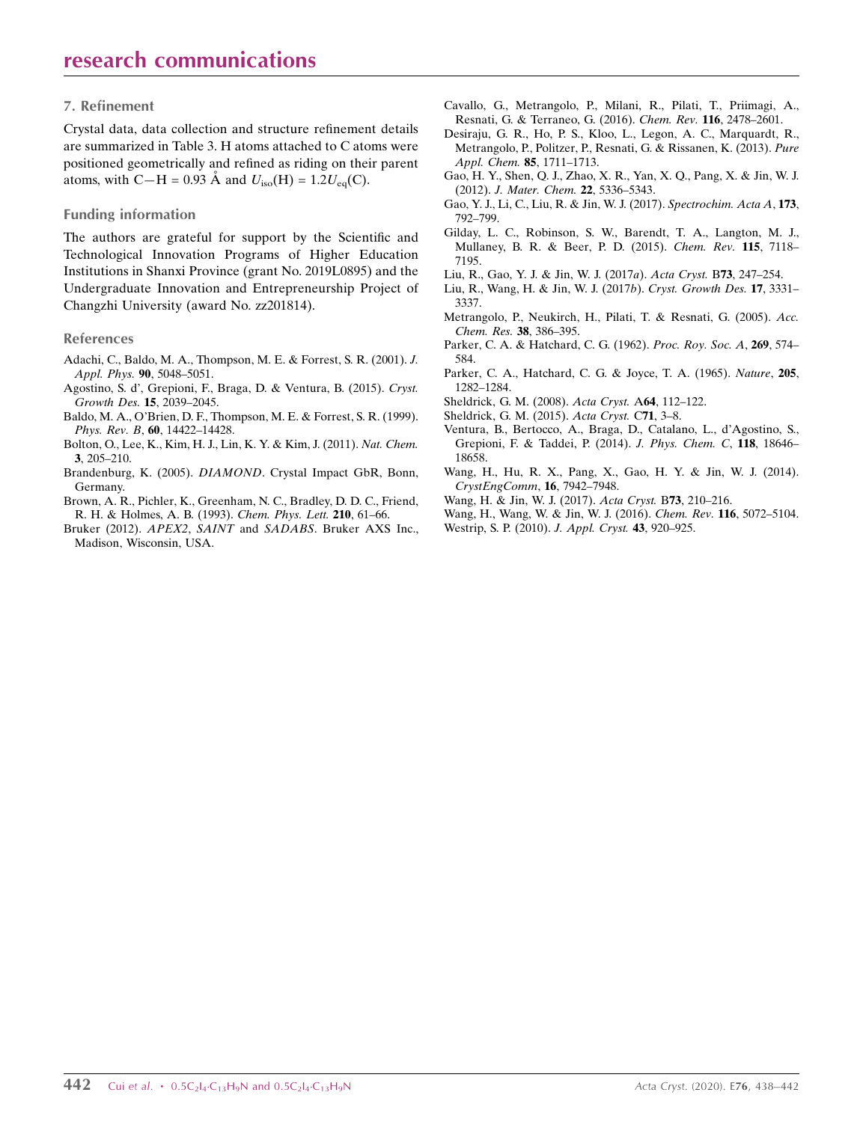### 7. Refinement

Crystal data, data collection and structure refinement details are summarized in Table 3. H atoms attached to C atoms were positioned geometrically and refined as riding on their parent atoms, with C—H = 0.93 Å and  $U_{\text{iso}}(H) = 1.2U_{\text{eq}}(C)$ .

### Funding information

The authors are grateful for support by the Scientific and Technological Innovation Programs of Higher Education Institutions in Shanxi Province (grant No. 2019L0895) and the Undergraduate Innovation and Entrepreneurship Project of Changzhi University (award No. zz201814).

### References

- [Adachi, C., Baldo, M. A., Thompson, M. E. & Forrest, S. R. \(2001\).](http://scripts.iucr.org/cgi-bin/cr.cgi?rm=pdfbb&cnor=vm2225&bbid=BB1) J. Appl. Phys. 90[, 5048–5051.](http://scripts.iucr.org/cgi-bin/cr.cgi?rm=pdfbb&cnor=vm2225&bbid=BB1)
- [Agostino, S. d', Grepioni, F., Braga, D. & Ventura, B. \(2015\).](http://scripts.iucr.org/cgi-bin/cr.cgi?rm=pdfbb&cnor=vm2225&bbid=BB2) Cryst. [Growth Des.](http://scripts.iucr.org/cgi-bin/cr.cgi?rm=pdfbb&cnor=vm2225&bbid=BB2) 15, 2039–2045.
- [Baldo, M. A., O'Brien, D. F., Thompson, M. E. & Forrest, S. R. \(1999\).](http://scripts.iucr.org/cgi-bin/cr.cgi?rm=pdfbb&cnor=vm2225&bbid=BB3) Phys. Rev. B, 60[, 14422–14428.](http://scripts.iucr.org/cgi-bin/cr.cgi?rm=pdfbb&cnor=vm2225&bbid=BB3)
- [Bolton, O., Lee, K., Kim, H. J., Lin, K. Y. & Kim, J. \(2011\).](http://scripts.iucr.org/cgi-bin/cr.cgi?rm=pdfbb&cnor=vm2225&bbid=BB4) Nat. Chem. 3[, 205–210.](http://scripts.iucr.org/cgi-bin/cr.cgi?rm=pdfbb&cnor=vm2225&bbid=BB4)
- Brandenburg, K. (2005). DIAMOND[. Crystal Impact GbR, Bonn,](http://scripts.iucr.org/cgi-bin/cr.cgi?rm=pdfbb&cnor=vm2225&bbid=BB5) [Germany.](http://scripts.iucr.org/cgi-bin/cr.cgi?rm=pdfbb&cnor=vm2225&bbid=BB5)
- [Brown, A. R., Pichler, K., Greenham, N. C., Bradley, D. D. C., Friend,](http://scripts.iucr.org/cgi-bin/cr.cgi?rm=pdfbb&cnor=vm2225&bbid=BB6) [R. H. & Holmes, A. B. \(1993\).](http://scripts.iucr.org/cgi-bin/cr.cgi?rm=pdfbb&cnor=vm2225&bbid=BB6) Chem. Phys. Lett. 210, 61–66.
- Bruker (2012). APEX2, SAINT and SADABS[. Bruker AXS Inc.,](http://scripts.iucr.org/cgi-bin/cr.cgi?rm=pdfbb&cnor=vm2225&bbid=BB7) [Madison, Wisconsin, USA.](http://scripts.iucr.org/cgi-bin/cr.cgi?rm=pdfbb&cnor=vm2225&bbid=BB7)
- [Cavallo, G., Metrangolo, P., Milani, R., Pilati, T., Priimagi, A.,](http://scripts.iucr.org/cgi-bin/cr.cgi?rm=pdfbb&cnor=vm2225&bbid=BB8) [Resnati, G. & Terraneo, G. \(2016\).](http://scripts.iucr.org/cgi-bin/cr.cgi?rm=pdfbb&cnor=vm2225&bbid=BB8) Chem. Rev. 116, 2478–2601.
- [Desiraju, G. R., Ho, P. S., Kloo, L., Legon, A. C., Marquardt, R.,](http://scripts.iucr.org/cgi-bin/cr.cgi?rm=pdfbb&cnor=vm2225&bbid=BB9) [Metrangolo, P., Politzer, P., Resnati, G. & Rissanen, K. \(2013\).](http://scripts.iucr.org/cgi-bin/cr.cgi?rm=pdfbb&cnor=vm2225&bbid=BB9) Pure [Appl. Chem.](http://scripts.iucr.org/cgi-bin/cr.cgi?rm=pdfbb&cnor=vm2225&bbid=BB9) 85, 1711–1713.
- [Gao, H. Y., Shen, Q. J., Zhao, X. R., Yan, X. Q., Pang, X. & Jin, W. J.](http://scripts.iucr.org/cgi-bin/cr.cgi?rm=pdfbb&cnor=vm2225&bbid=BB10) (2012). [J. Mater. Chem.](http://scripts.iucr.org/cgi-bin/cr.cgi?rm=pdfbb&cnor=vm2225&bbid=BB10) 22, 5336–5343.
- [Gao, Y. J., Li, C., Liu, R. & Jin, W. J. \(2017\).](http://scripts.iucr.org/cgi-bin/cr.cgi?rm=pdfbb&cnor=vm2225&bbid=BB11) Spectrochim. Acta A, 173, [792–799.](http://scripts.iucr.org/cgi-bin/cr.cgi?rm=pdfbb&cnor=vm2225&bbid=BB11)
- [Gilday, L. C., Robinson, S. W., Barendt, T. A., Langton, M. J.,](http://scripts.iucr.org/cgi-bin/cr.cgi?rm=pdfbb&cnor=vm2225&bbid=BB12) [Mullaney, B. R. & Beer, P. D. \(2015\).](http://scripts.iucr.org/cgi-bin/cr.cgi?rm=pdfbb&cnor=vm2225&bbid=BB12) Chem. Rev. 115, 7118– [7195.](http://scripts.iucr.org/cgi-bin/cr.cgi?rm=pdfbb&cnor=vm2225&bbid=BB12)
- [Liu, R., Gao, Y. J. & Jin, W. J. \(2017](http://scripts.iucr.org/cgi-bin/cr.cgi?rm=pdfbb&cnor=vm2225&bbid=BB13)a). Acta Cryst. B73, 247–254.
- [Liu, R., Wang, H. & Jin, W. J. \(2017](http://scripts.iucr.org/cgi-bin/cr.cgi?rm=pdfbb&cnor=vm2225&bbid=BB14)b). Cryst. Growth Des. 17, 3331– [3337.](http://scripts.iucr.org/cgi-bin/cr.cgi?rm=pdfbb&cnor=vm2225&bbid=BB14)
- [Metrangolo, P., Neukirch, H., Pilati, T. & Resnati, G. \(2005\).](http://scripts.iucr.org/cgi-bin/cr.cgi?rm=pdfbb&cnor=vm2225&bbid=BB15) Acc. [Chem. Res.](http://scripts.iucr.org/cgi-bin/cr.cgi?rm=pdfbb&cnor=vm2225&bbid=BB15) 38, 386–395.
- [Parker, C. A. & Hatchard, C. G. \(1962\).](http://scripts.iucr.org/cgi-bin/cr.cgi?rm=pdfbb&cnor=vm2225&bbid=BB16) Proc. Roy. Soc. A, 269, 574– [584.](http://scripts.iucr.org/cgi-bin/cr.cgi?rm=pdfbb&cnor=vm2225&bbid=BB16)
- [Parker, C. A., Hatchard, C. G. & Joyce, T. A. \(1965\).](http://scripts.iucr.org/cgi-bin/cr.cgi?rm=pdfbb&cnor=vm2225&bbid=BB17) Nature, 205, [1282–1284.](http://scripts.iucr.org/cgi-bin/cr.cgi?rm=pdfbb&cnor=vm2225&bbid=BB17)
- [Sheldrick, G. M. \(2008\).](http://scripts.iucr.org/cgi-bin/cr.cgi?rm=pdfbb&cnor=vm2225&bbid=BB18) Acta Cryst. A64, 112–122.
- [Sheldrick, G. M. \(2015\).](http://scripts.iucr.org/cgi-bin/cr.cgi?rm=pdfbb&cnor=vm2225&bbid=BB19) Acta Cryst. C71, 3–8.
- [Ventura, B., Bertocco, A., Braga, D., Catalano, L., d'Agostino, S.,](http://scripts.iucr.org/cgi-bin/cr.cgi?rm=pdfbb&cnor=vm2225&bbid=BB20) [Grepioni, F. & Taddei, P. \(2014\).](http://scripts.iucr.org/cgi-bin/cr.cgi?rm=pdfbb&cnor=vm2225&bbid=BB20) J. Phys. Chem. C, 118, 18646– [18658.](http://scripts.iucr.org/cgi-bin/cr.cgi?rm=pdfbb&cnor=vm2225&bbid=BB20)
- [Wang, H., Hu, R. X., Pang, X., Gao, H. Y. & Jin, W. J. \(2014\).](http://scripts.iucr.org/cgi-bin/cr.cgi?rm=pdfbb&cnor=vm2225&bbid=BB21) [CrystEngComm](http://scripts.iucr.org/cgi-bin/cr.cgi?rm=pdfbb&cnor=vm2225&bbid=BB21), 16, 7942–7948.
- [Wang, H. & Jin, W. J. \(2017\).](http://scripts.iucr.org/cgi-bin/cr.cgi?rm=pdfbb&cnor=vm2225&bbid=BB22) Acta Cryst. B73, 210–216.
- [Wang, H., Wang, W. & Jin, W. J. \(2016\).](http://scripts.iucr.org/cgi-bin/cr.cgi?rm=pdfbb&cnor=vm2225&bbid=BB23) Chem. Rev. 116, 5072–5104.
- [Westrip, S. P. \(2010\).](http://scripts.iucr.org/cgi-bin/cr.cgi?rm=pdfbb&cnor=vm2225&bbid=BB24) J. Appl. Cryst. 43, 920–925.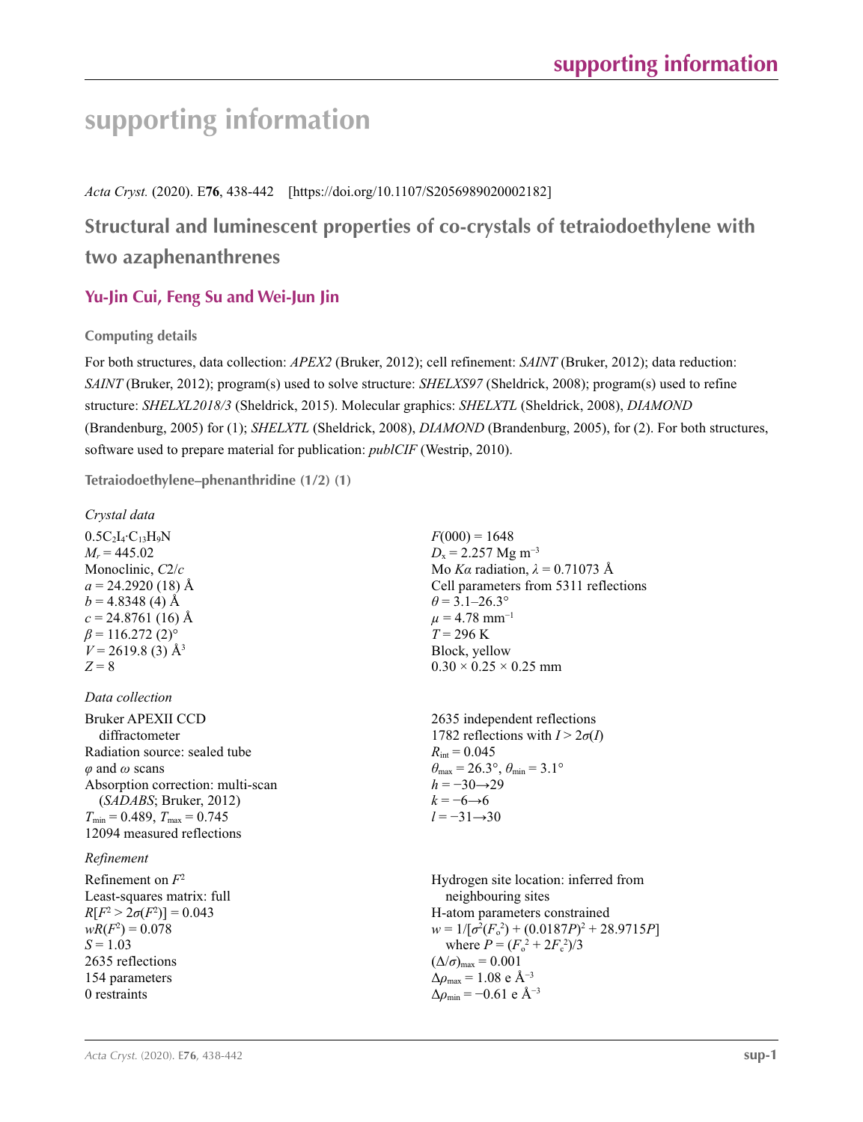# **supporting information**

*Acta Cryst.* (2020). E**76**, 438-442 [https://doi.org/10.1107/S2056989020002182]

# **Structural and luminescent properties of co-crystals of tetraiodoethylene with two azaphenanthrenes**

# **Yu-Jin Cui, Feng Su and Wei-Jun Jin**

**Computing details** 

For both structures, data collection: *APEX2* (Bruker, 2012); cell refinement: *SAINT* (Bruker, 2012); data reduction: *SAINT* (Bruker, 2012); program(s) used to solve structure: *SHELXS97* (Sheldrick, 2008); program(s) used to refine structure: *SHELXL2018/3* (Sheldrick, 2015). Molecular graphics: *SHELXTL* (Sheldrick, 2008), *DIAMOND* (Brandenburg, 2005) for (1); *SHELXTL* (Sheldrick, 2008), *DIAMOND* (Brandenburg, 2005), for (2). For both structures, software used to prepare material for publication: *publCIF* (Westrip, 2010).

**Tetraiodoethylene–phenanthridine (1/2) (1)** 

*Crystal data*

 $0.5C_2I_4$ · $C_{13}H_9N$  $M_r = 445.02$ Monoclinic, *C*2/*c*  $a = 24.2920(18)$  Å  $b = 4.8348(4)$  Å  $c = 24.8761(16)$  Å  $\beta$  = 116.272 (2)<sup>o</sup>  $V = 2619.8$  (3) Å<sup>3</sup> *Z* = 8

# *Data collection*

Bruker APEXII CCD diffractometer Radiation source: sealed tube *φ* and *ω* scans Absorption correction: multi-scan (*SADABS*; Bruker, 2012)  $T_{\text{min}} = 0.489, T_{\text{max}} = 0.745$ 12094 measured reflections

# *Refinement*

Refinement on *F*<sup>2</sup> Least-squares matrix: full  $R[F^2 > 2\sigma(F^2)] = 0.043$  $wR(F^2) = 0.078$  $S = 1.03$ 2635 reflections 154 parameters 0 restraints

 $F(000) = 1648$  $D_x = 2.257$  Mg m<sup>-3</sup> Mo *Kα* radiation,  $\lambda = 0.71073$  Å Cell parameters from 5311 reflections  $\theta$  = 3.1–26.3°  $\mu$  = 4.78 mm<sup>-1</sup>  $T = 296$  K Block, yellow  $0.30 \times 0.25 \times 0.25$  mm

2635 independent reflections 1782 reflections with  $I > 2\sigma(I)$  $R_{\text{int}} = 0.045$  $\theta_{\text{max}} = 26.3^{\circ}, \theta_{\text{min}} = 3.1^{\circ}$  $h = -30 \rightarrow 29$  $k = -6 \rightarrow 6$ *l* = −31→30

Hydrogen site location: inferred from neighbouring sites H-atom parameters constrained  $w = 1/[\sigma^2 (F_o^2) + (0.0187P)^2 + 28.9715P]$ where  $P = (F_o^2 + 2F_c^2)/3$  $(\Delta/\sigma)_{\text{max}} = 0.001$ Δ*ρ*max = 1.08 e Å−3  $\Delta\rho_{\text{min}} = -0.61$  e Å<sup>-3</sup>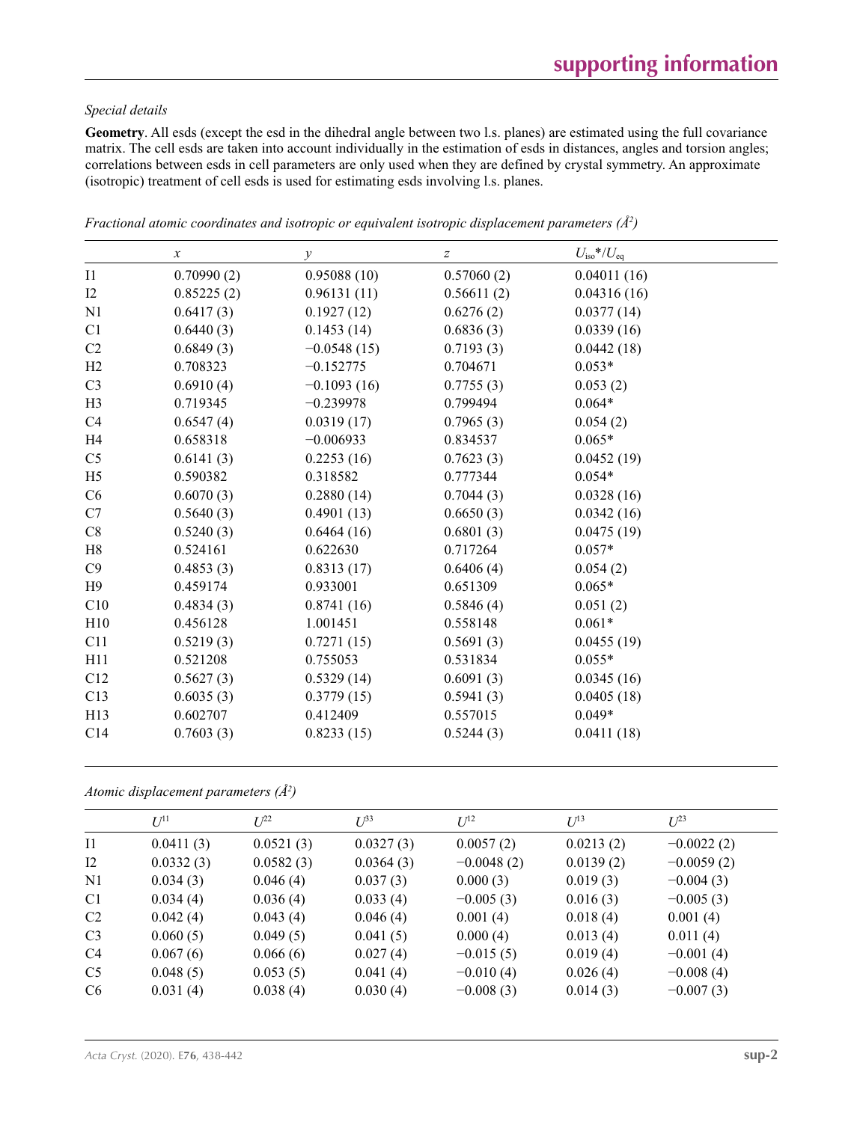### *Special details*

**Geometry**. All esds (except the esd in the dihedral angle between two l.s. planes) are estimated using the full covariance matrix. The cell esds are taken into account individually in the estimation of esds in distances, angles and torsion angles; correlations between esds in cell parameters are only used when they are defined by crystal symmetry. An approximate (isotropic) treatment of cell esds is used for estimating esds involving l.s. planes.

|                 | $\boldsymbol{x}$ | $\mathcal{Y}$ | $\boldsymbol{Z}$ | $U_{\rm iso}$ */ $U_{\rm eq}$ |
|-----------------|------------------|---------------|------------------|-------------------------------|
| $_{\rm I1}$     | 0.70990(2)       | 0.95088(10)   | 0.57060(2)       | 0.04011(16)                   |
| I2              | 0.85225(2)       | 0.96131(11)   | 0.56611(2)       | 0.04316(16)                   |
| N <sub>1</sub>  | 0.6417(3)        | 0.1927(12)    | 0.6276(2)        | 0.0377(14)                    |
| C <sub>1</sub>  | 0.6440(3)        | 0.1453(14)    | 0.6836(3)        | 0.0339(16)                    |
| C2              | 0.6849(3)        | $-0.0548(15)$ | 0.7193(3)        | 0.0442(18)                    |
| H <sub>2</sub>  | 0.708323         | $-0.152775$   | 0.704671         | $0.053*$                      |
| C <sub>3</sub>  | 0.6910(4)        | $-0.1093(16)$ | 0.7755(3)        | 0.053(2)                      |
| H <sub>3</sub>  | 0.719345         | $-0.239978$   | 0.799494         | $0.064*$                      |
| C <sub>4</sub>  | 0.6547(4)        | 0.0319(17)    | 0.7965(3)        | 0.054(2)                      |
| H <sub>4</sub>  | 0.658318         | $-0.006933$   | 0.834537         | $0.065*$                      |
| C <sub>5</sub>  | 0.6141(3)        | 0.2253(16)    | 0.7623(3)        | 0.0452(19)                    |
| H <sub>5</sub>  | 0.590382         | 0.318582      | 0.777344         | $0.054*$                      |
| C <sub>6</sub>  | 0.6070(3)        | 0.2880(14)    | 0.7044(3)        | 0.0328(16)                    |
| C7              | 0.5640(3)        | 0.4901(13)    | 0.6650(3)        | 0.0342(16)                    |
| C8              | 0.5240(3)        | 0.6464(16)    | 0.6801(3)        | 0.0475(19)                    |
| H8              | 0.524161         | 0.622630      | 0.717264         | $0.057*$                      |
| C9              | 0.4853(3)        | 0.8313(17)    | 0.6406(4)        | 0.054(2)                      |
| H9              | 0.459174         | 0.933001      | 0.651309         | $0.065*$                      |
| C10             | 0.4834(3)        | 0.8741(16)    | 0.5846(4)        | 0.051(2)                      |
| H10             | 0.456128         | 1.001451      | 0.558148         | $0.061*$                      |
| C11             | 0.5219(3)        | 0.7271(15)    | 0.5691(3)        | 0.0455(19)                    |
| H11             | 0.521208         | 0.755053      | 0.531834         | $0.055*$                      |
| C12             | 0.5627(3)        | 0.5329(14)    | 0.6091(3)        | 0.0345(16)                    |
| C13             | 0.6035(3)        | 0.3779(15)    | 0.5941(3)        | 0.0405(18)                    |
| H13             | 0.602707         | 0.412409      | 0.557015         | $0.049*$                      |
| C <sub>14</sub> | 0.7603(3)        | 0.8233(15)    | 0.5244(3)        | 0.0411(18)                    |

*Fractional atomic coordinates and isotropic or equivalent isotropic displacement parameters (Å<sup>2</sup>)* 

*Atomic displacement parameters (Å2 )*

| $U^{11}$  | $L^{22}$  | $U^{33}$  | $U^{12}$     | $U^{13}$  | $U^{23}$     |
|-----------|-----------|-----------|--------------|-----------|--------------|
| 0.0411(3) | 0.0521(3) | 0.0327(3) | 0.0057(2)    | 0.0213(2) | $-0.0022(2)$ |
| 0.0332(3) | 0.0582(3) | 0.0364(3) | $-0.0048(2)$ | 0.0139(2) | $-0.0059(2)$ |
| 0.034(3)  | 0.046(4)  | 0.037(3)  | 0.000(3)     | 0.019(3)  | $-0.004(3)$  |
| 0.034(4)  | 0.036(4)  | 0.033(4)  | $-0.005(3)$  | 0.016(3)  | $-0.005(3)$  |
| 0.042(4)  | 0.043(4)  | 0.046(4)  | 0.001(4)     | 0.018(4)  | 0.001(4)     |
| 0.060(5)  | 0.049(5)  | 0.041(5)  | 0.000(4)     | 0.013(4)  | 0.011(4)     |
| 0.067(6)  | 0.066(6)  | 0.027(4)  | $-0.015(5)$  | 0.019(4)  | $-0.001(4)$  |
| 0.048(5)  | 0.053(5)  | 0.041(4)  | $-0.010(4)$  | 0.026(4)  | $-0.008(4)$  |
| 0.031(4)  | 0.038(4)  | 0.030(4)  | $-0.008(3)$  | 0.014(3)  | $-0.007(3)$  |
|           |           |           |              |           |              |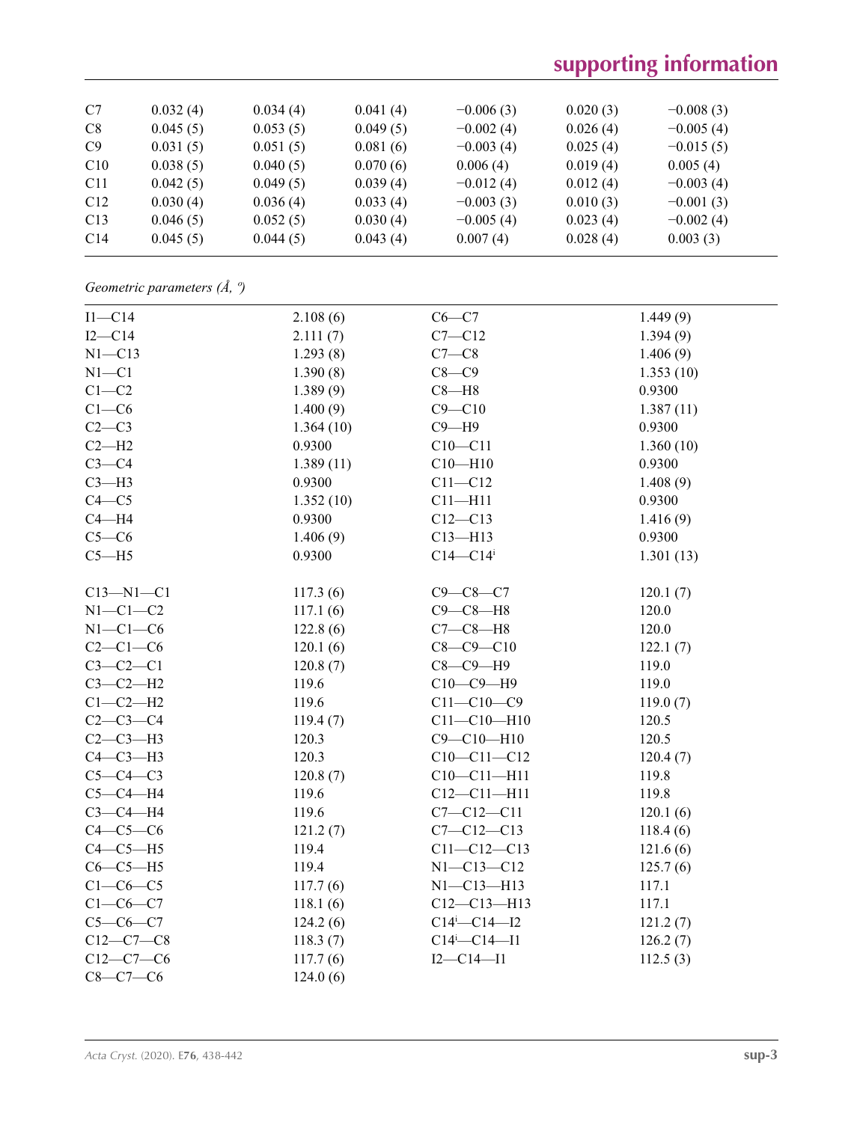# **supporting information**

| C7              | 0.032(4) | 0.034(4) | 0.041(4) | $-0.006(3)$ | 0.020(3) | $-0.008(3)$ |
|-----------------|----------|----------|----------|-------------|----------|-------------|
| C8              | 0.045(5) | 0.053(5) | 0.049(5) | $-0.002(4)$ | 0.026(4) | $-0.005(4)$ |
| C9              | 0.031(5) | 0.051(5) | 0.081(6) | $-0.003(4)$ | 0.025(4) | $-0.015(5)$ |
| C10             | 0.038(5) | 0.040(5) | 0.070(6) | 0.006(4)    | 0.019(4) | 0.005(4)    |
| C <sub>11</sub> | 0.042(5) | 0.049(5) | 0.039(4) | $-0.012(4)$ | 0.012(4) | $-0.003(4)$ |
| C12             | 0.030(4) | 0.036(4) | 0.033(4) | $-0.003(3)$ | 0.010(3) | $-0.001(3)$ |
| C13             | 0.046(5) | 0.052(5) | 0.030(4) | $-0.005(4)$ | 0.023(4) | $-0.002(4)$ |
| C14             | 0.045(5) | 0.044(5) | 0.043(4) | 0.007(4)    | 0.028(4) | 0.003(3)    |

*Geometric parameters (Å, º)*

| $I1-C14$        | 2.108(6)  | $C6 - C7$                      | 1.449(9)  |
|-----------------|-----------|--------------------------------|-----------|
| $I2-C14$        | 2.111(7)  | $C7 - C12$                     | 1.394(9)  |
| $N1 - C13$      | 1.293(8)  | $C7-C8$                        | 1.406(9)  |
| $N1 - C1$       | 1.390(8)  | $C8-C9$                        | 1.353(10) |
| $C1-C2$         | 1.389(9)  | $C8 - H8$                      | 0.9300    |
| $C1-C6$         | 1.400(9)  | $C9 - C10$                     | 1.387(11) |
| $C2-C3$         | 1.364(10) | $C9 - H9$                      | 0.9300    |
| $C2-H2$         | 0.9300    | $C10-C11$                      | 1.360(10) |
| $C3-C4$         | 1.389(11) | $C10 - H10$                    | 0.9300    |
| $C3-H3$         | 0.9300    | $C11 - C12$                    | 1.408(9)  |
| $C4 - C5$       | 1.352(10) | $C11 - H11$                    | 0.9300    |
| $C4 - H4$       | 0.9300    | $C12 - C13$                    | 1.416(9)  |
| $C5-C6$         | 1.406(9)  | $C13 - H13$                    | 0.9300    |
| $C5 - H5$       | 0.9300    | $C14 - C14$                    | 1.301(13) |
|                 |           |                                |           |
| $C13 - N1 - C1$ | 117.3(6)  | $C9 - C8 - C7$                 | 120.1(7)  |
| $N1-C1-C2$      | 117.1(6)  | $C9 - C8 - H8$                 | 120.0     |
| $N1-C1-C6$      | 122.8(6)  | $C7-C8-H8$                     | 120.0     |
| $C2-C1-C6$      | 120.1(6)  | $C8 - C9 - C10$                | 122.1(7)  |
| $C3-C2-C1$      | 120.8(7)  | $C8-C9-H9$                     | 119.0     |
| $C3-C2-H2$      | 119.6     | $C10-C9-H9$                    | 119.0     |
| $C1-C2-H2$      | 119.6     | $C11 - C10 - C9$               | 119.0(7)  |
| $C2-C3-C4$      | 119.4(7)  | $C11 - C10 - H10$              | 120.5     |
| $C2-C3-H3$      | 120.3     | $C9 - C10 - H10$               | 120.5     |
| $C4-C3-H3$      | 120.3     | $C10-C11-C12$                  | 120.4(7)  |
| $C5-C4-C3$      | 120.8(7)  | $C10-C11-H11$                  | 119.8     |
| $C5-C4-H4$      | 119.6     | $C12 - C11 - H11$              | 119.8     |
| $C3-C4-H4$      | 119.6     | $C7 - C12 - C11$               | 120.1(6)  |
| $C4-C5-C6$      | 121.2(7)  | $C7 - C12 - C13$               | 118.4(6)  |
| $C4-C5-H5$      | 119.4     | $C11 - C12 - C13$              | 121.6(6)  |
| $C6-C5-H5$      | 119.4     | $N1 - C13 - C12$               | 125.7(6)  |
| $C1-C6-C5$      | 117.7(6)  | $N1 - C13 - H13$               | 117.1     |
| $C1-C6-C7$      | 118.1(6)  | $C12 - C13 - H13$              | 117.1     |
| $C5-C6-C7$      | 124.2(6)  | $C14^{i} - C14 - I2$           | 121.2(7)  |
| $C12-C7-C8$     | 118.3(7)  | $C14$ <sup>i</sup> - $C14$ -I1 | 126.2(7)  |
| $C12-C7-C6$     | 117.7(6)  | $I2 - C14 - I1$                | 112.5(3)  |
| $C8-C7-C6$      | 124.0(6)  |                                |           |
|                 |           |                                |           |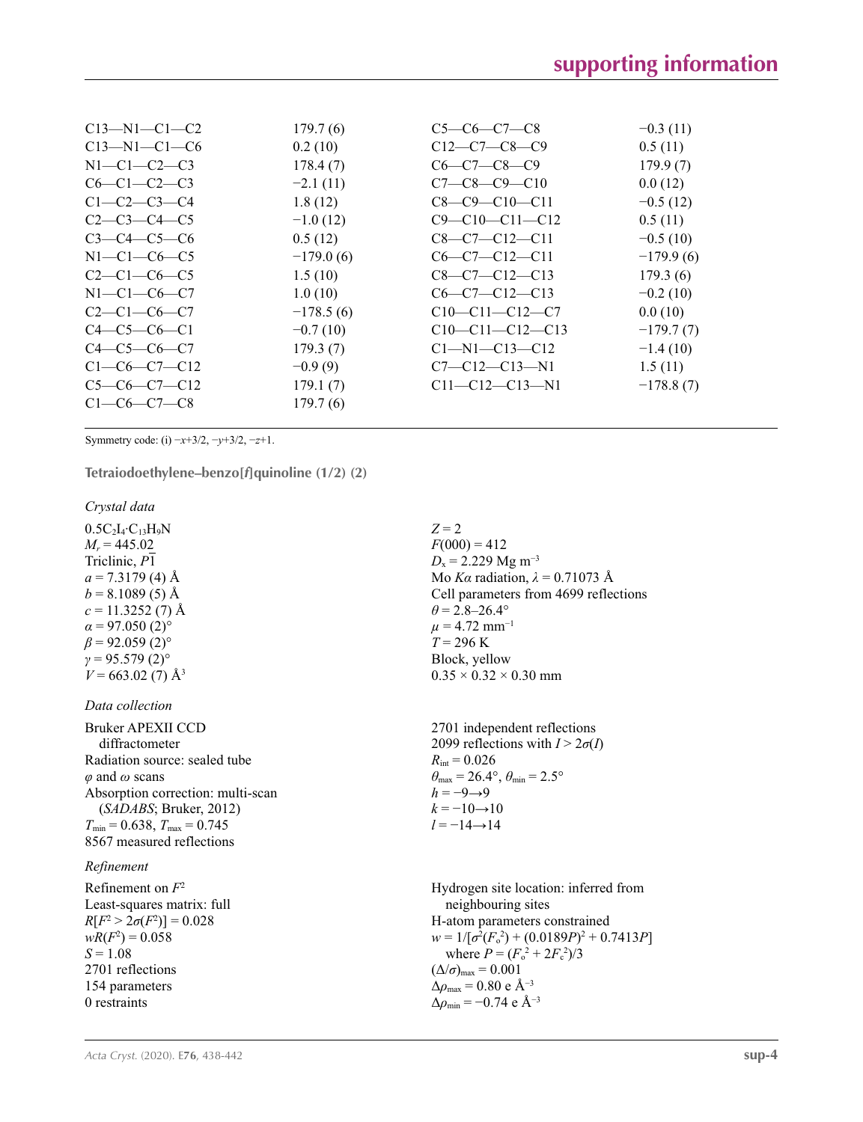| 179.7(6)    | $C5-C6-C7-C8$          | $-0.3(11)$  |
|-------------|------------------------|-------------|
| 0.2(10)     | $C12-C7-C8-C9$         | 0.5(11)     |
| 178.4(7)    | $C6-C7-C8-C9$          | 179.9(7)    |
| $-2.1(11)$  | $C7-C8-C9-C10$         | 0.0(12)     |
| 1.8(12)     | $C8-C9-C10-C11$        | $-0.5(12)$  |
| $-1.0(12)$  | $C9 - C10 - C11 - C12$ | 0.5(11)     |
| 0.5(12)     | $C8-C7-C12-C11$        | $-0.5(10)$  |
| $-179.0(6)$ | $C6-C7-C12-C11$        | $-179.9(6)$ |
| 1.5(10)     | $C8-C7-C12-C13$        | 179.3(6)    |
| 1.0(10)     | $C6-C7-C12-C13$        | $-0.2(10)$  |
| $-178.5(6)$ | $C10-C11-C12-C7$       | 0.0(10)     |
| $-0.7(10)$  | $C10-C11-C12-C13$      | $-179.7(7)$ |
| 179.3(7)    | $C1-M1-C13-C12$        | $-1.4(10)$  |
| $-0.9(9)$   | $C7 - C12 - C13 - N1$  | 1.5(11)     |
| 179.1(7)    | $C11 - C12 - C13 - N1$ | $-178.8(7)$ |
| 179.7(6)    |                        |             |
|             |                        |             |

Symmetry code: (i) −*x*+3/2, −*y*+3/2, −*z*+1.

**Tetraiodoethylene–benzo[***f***]quinoline (1/2) (2)** 

*Crystal data*

 $0.5C_2I_4$ · $C_{13}H_9N$  $M_r = 445.02$ Triclinic, *P*1  $a = 7.3179$  (4) Å  $b = 8.1089(5)$  Å  $c = 11.3252(7)$  Å  $\alpha$  = 97.050 (2)<sup>o</sup>  $\beta$  = 92.059 (2)<sup>o</sup>  $γ = 95.579(2)°$  $V = 663.02(7)$  Å<sup>3</sup>

### *Data collection*

Bruker APEXII CCD diffractometer Radiation source: sealed tube *φ* and *ω* scans Absorption correction: multi-scan (*SADABS*; Bruker, 2012)  $T_{\text{min}} = 0.638$ ,  $T_{\text{max}} = 0.745$ 8567 measured reflections

### *Refinement*

Refinement on *F*<sup>2</sup> Least-squares matrix: full  $R[F^2 > 2\sigma(F^2)] = 0.028$  $wR(F^2) = 0.058$  $S = 1.08$ 2701 reflections 154 parameters 0 restraints

### $Z = 2$

 $F(000) = 412$  $D_x = 2.229$  Mg m<sup>-3</sup> Mo *Kα* radiation, *λ* = 0.71073 Å Cell parameters from 4699 reflections  $\theta$  = 2.8–26.4°  $\mu$  = 4.72 mm<sup>-1</sup>  $T = 296$  K Block, yellow  $0.35 \times 0.32 \times 0.30$  mm

2701 independent reflections 2099 reflections with  $I > 2\sigma(I)$  $R_{\text{int}} = 0.026$  $\theta_{\text{max}} = 26.4^{\circ}, \theta_{\text{min}} = 2.5^{\circ}$  $h = -9 \rightarrow 9$  $k = -10 \rightarrow 10$ *l* = −14→14

Hydrogen site location: inferred from neighbouring sites H-atom parameters constrained  $w = 1/[\sigma^2 (F_o^2) + (0.0189P)^2 + 0.7413P]$ where  $P = (F_o^2 + 2F_c^2)/3$  $(\Delta/\sigma)_{\text{max}} = 0.001$ Δ*ρ*max = 0.80 e Å−3  $\Delta \rho_{\text{min}} = -0.74 \text{ e } \text{\AA}^{-3}$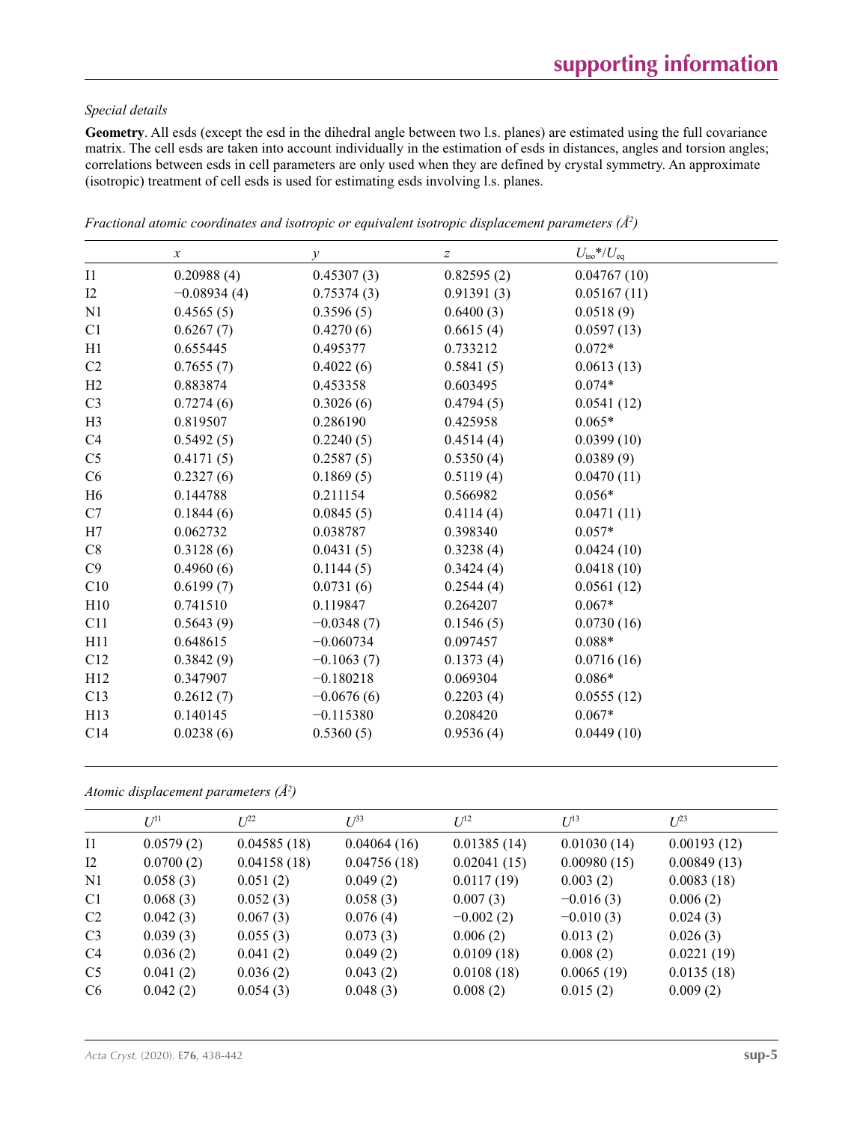### *Special details*

**Geometry**. All esds (except the esd in the dihedral angle between two l.s. planes) are estimated using the full covariance matrix. The cell esds are taken into account individually in the estimation of esds in distances, angles and torsion angles; correlations between esds in cell parameters are only used when they are defined by crystal symmetry. An approximate (isotropic) treatment of cell esds is used for estimating esds involving l.s. planes.

|                 | $\boldsymbol{\chi}$ | $\mathcal{Y}$ | $\boldsymbol{Z}$ | $U_{\rm iso}$ */ $U_{\rm eq}$ |
|-----------------|---------------------|---------------|------------------|-------------------------------|
| I1              | 0.20988(4)          | 0.45307(3)    | 0.82595(2)       | 0.04767(10)                   |
| 12              | $-0.08934(4)$       | 0.75374(3)    | 0.91391(3)       | 0.05167(11)                   |
| N <sub>1</sub>  | 0.4565(5)           | 0.3596(5)     | 0.6400(3)        | 0.0518(9)                     |
| C <sub>1</sub>  | 0.6267(7)           | 0.4270(6)     | 0.6615(4)        | 0.0597(13)                    |
| H1              | 0.655445            | 0.495377      | 0.733212         | $0.072*$                      |
| C2              | 0.7655(7)           | 0.4022(6)     | 0.5841(5)        | 0.0613(13)                    |
| H <sub>2</sub>  | 0.883874            | 0.453358      | 0.603495         | $0.074*$                      |
| C <sub>3</sub>  | 0.7274(6)           | 0.3026(6)     | 0.4794(5)        | 0.0541(12)                    |
| H <sub>3</sub>  | 0.819507            | 0.286190      | 0.425958         | $0.065*$                      |
| C <sub>4</sub>  | 0.5492(5)           | 0.2240(5)     | 0.4514(4)        | 0.0399(10)                    |
| C <sub>5</sub>  | 0.4171(5)           | 0.2587(5)     | 0.5350(4)        | 0.0389(9)                     |
| C <sub>6</sub>  | 0.2327(6)           | 0.1869(5)     | 0.5119(4)        | 0.0470(11)                    |
| H <sub>6</sub>  | 0.144788            | 0.211154      | 0.566982         | $0.056*$                      |
| C7              | 0.1844(6)           | 0.0845(5)     | 0.4114(4)        | 0.0471(11)                    |
| H7              | 0.062732            | 0.038787      | 0.398340         | $0.057*$                      |
| C8              | 0.3128(6)           | 0.0431(5)     | 0.3238(4)        | 0.0424(10)                    |
| C9              | 0.4960(6)           | 0.1144(5)     | 0.3424(4)        | 0.0418(10)                    |
| C10             | 0.6199(7)           | 0.0731(6)     | 0.2544(4)        | 0.0561(12)                    |
| H10             | 0.741510            | 0.119847      | 0.264207         | $0.067*$                      |
| C11             | 0.5643(9)           | $-0.0348(7)$  | 0.1546(5)        | 0.0730(16)                    |
| H11             | 0.648615            | $-0.060734$   | 0.097457         | $0.088*$                      |
| C12             | 0.3842(9)           | $-0.1063(7)$  | 0.1373(4)        | 0.0716(16)                    |
| H12             | 0.347907            | $-0.180218$   | 0.069304         | $0.086*$                      |
| C13             | 0.2612(7)           | $-0.0676(6)$  | 0.2203(4)        | 0.0555(12)                    |
| H13             | 0.140145            | $-0.115380$   | 0.208420         | $0.067*$                      |
| C <sub>14</sub> | 0.0238(6)           | 0.5360(5)     | 0.9536(4)        | 0.0449(10)                    |

*Fractional atomic coordinates and isotropic or equivalent isotropic displacement parameters (Å<sup>2</sup>)* 

*Atomic displacement parameters (Å2 )*

|                | $U^{11}$  | $L^{22}$    | $\mathcal{L}^{\beta 3}$ | $U^{12}$    | $U^{13}$    | $U^{23}$    |
|----------------|-----------|-------------|-------------------------|-------------|-------------|-------------|
| $\mathbf{I}$   | 0.0579(2) | 0.04585(18) | 0.04064(16)             | 0.01385(14) | 0.01030(14) | 0.00193(12) |
| 12             | 0.0700(2) | 0.04158(18) | 0.04756(18)             | 0.02041(15) | 0.00980(15) | 0.00849(13) |
| N1             | 0.058(3)  | 0.051(2)    | 0.049(2)                | 0.0117(19)  | 0.003(2)    | 0.0083(18)  |
| C <sub>1</sub> | 0.068(3)  | 0.052(3)    | 0.058(3)                | 0.007(3)    | $-0.016(3)$ | 0.006(2)    |
| C <sub>2</sub> | 0.042(3)  | 0.067(3)    | 0.076(4)                | $-0.002(2)$ | $-0.010(3)$ | 0.024(3)    |
| C <sub>3</sub> | 0.039(3)  | 0.055(3)    | 0.073(3)                | 0.006(2)    | 0.013(2)    | 0.026(3)    |
| C <sub>4</sub> | 0.036(2)  | 0.041(2)    | 0.049(2)                | 0.0109(18)  | 0.008(2)    | 0.0221(19)  |
| C <sub>5</sub> | 0.041(2)  | 0.036(2)    | 0.043(2)                | 0.0108(18)  | 0.0065(19)  | 0.0135(18)  |
| C <sub>6</sub> | 0.042(2)  | 0.054(3)    | 0.048(3)                | 0.008(2)    | 0.015(2)    | 0.009(2)    |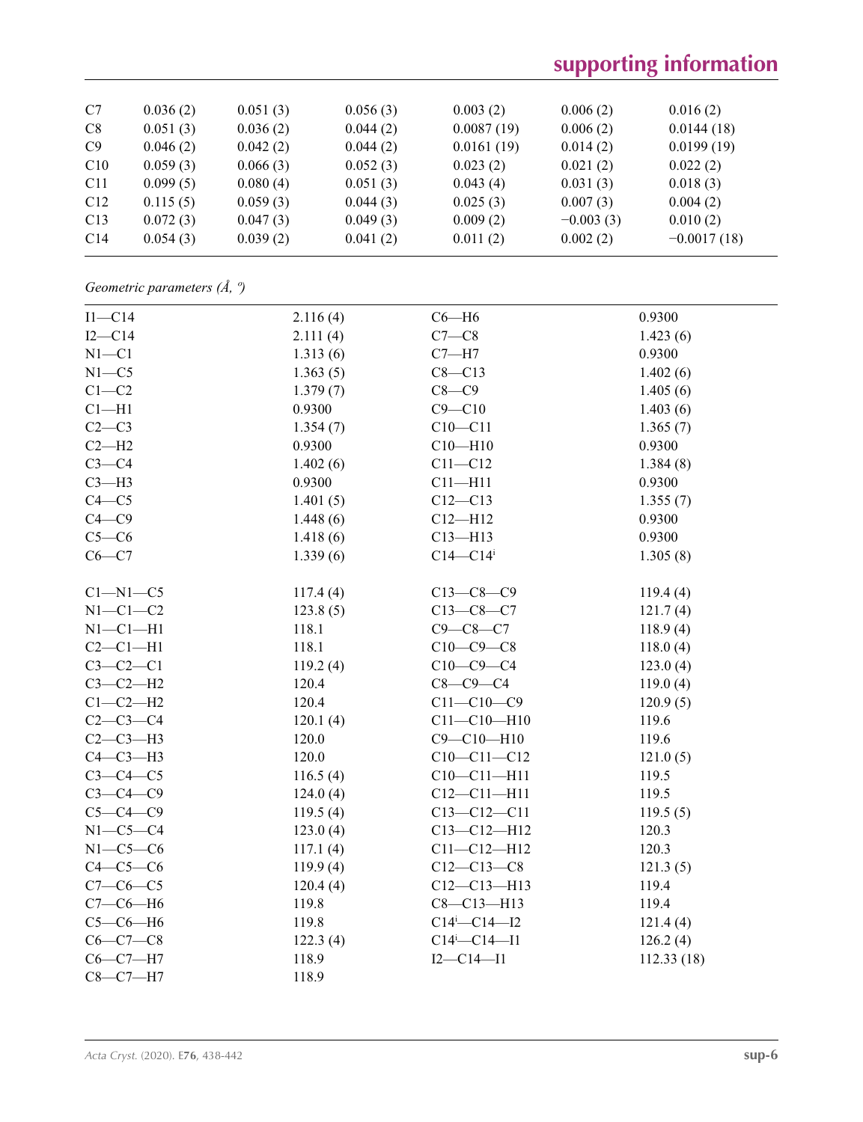# **supporting information**

| C7              | 0.036(2) | 0.051(3) | 0.056(3) | 0.003(2)   | 0.006(2)    | 0.016(2)      |
|-----------------|----------|----------|----------|------------|-------------|---------------|
| C8              | 0.051(3) | 0.036(2) | 0.044(2) | 0.0087(19) | 0.006(2)    | 0.0144(18)    |
| C9              | 0.046(2) | 0.042(2) | 0.044(2) | 0.0161(19) | 0.014(2)    | 0.0199(19)    |
| C10             | 0.059(3) | 0.066(3) | 0.052(3) | 0.023(2)   | 0.021(2)    | 0.022(2)      |
| C <sub>11</sub> | 0.099(5) | 0.080(4) | 0.051(3) | 0.043(4)   | 0.031(3)    | 0.018(3)      |
| C12             | 0.115(5) | 0.059(3) | 0.044(3) | 0.025(3)   | 0.007(3)    | 0.004(2)      |
| C13             | 0.072(3) | 0.047(3) | 0.049(3) | 0.009(2)   | $-0.003(3)$ | 0.010(2)      |
| C14             | 0.054(3) | 0.039(2) | 0.041(2) | 0.011(2)   | 0.002(2)    | $-0.0017(18)$ |
|                 |          |          |          |            |             |               |

# *Geometric parameters (Å, º)*

| $I1-C14$       | 2.116(4) | $C6 - H6$            | 0.9300     |
|----------------|----------|----------------------|------------|
| $I2-C14$       | 2.111(4) | $C7-C8$              | 1.423(6)   |
| $N1 - C1$      | 1.313(6) | $C7 - H7$            | 0.9300     |
| $N1 - C5$      | 1.363(5) | $C8 - C13$           | 1.402(6)   |
| $C1-C2$        | 1.379(7) | $C8-C9$              | 1.405(6)   |
| $Cl-H1$        | 0.9300   | $C9 - C10$           | 1.403(6)   |
| $C2-C3$        | 1.354(7) | $C10 - C11$          | 1.365(7)   |
| $C2-H2$        | 0.9300   | $C10 - H10$          | 0.9300     |
| $C3-C4$        | 1.402(6) | $C11 - C12$          | 1.384(8)   |
| $C3-H3$        | 0.9300   | $C11 - H11$          | 0.9300     |
| $C4 - C5$      | 1.401(5) | $C12 - C13$          | 1.355(7)   |
| $C4 - C9$      | 1.448(6) | $C12 - H12$          | 0.9300     |
| $C5-C6$        | 1.418(6) | $C13 - H13$          | 0.9300     |
| $C6-C7$        | 1.339(6) | $C14 - C14$          | 1.305(8)   |
|                |          |                      |            |
| $Cl-M1-C5$     | 117.4(4) | $C13-C8-C9$          | 119.4(4)   |
| $N1-C1-C2$     | 123.8(5) | $C13-C8-C7$          | 121.7(4)   |
| $N1-C1-H1$     | 118.1    | $C9 - C8 - C7$       | 118.9(4)   |
| $C2-C1-H1$     | 118.1    | $C10-C9-C8$          | 118.0(4)   |
| $C3-C2-C1$     | 119.2(4) | $C10-C9-C4$          | 123.0(4)   |
| $C3-C2-H2$     | 120.4    | $C8-C9-C4$           | 119.0(4)   |
| $C1-C2-H2$     | 120.4    | $C11 - C10 - C9$     | 120.9(5)   |
| $C2-C3-C4$     | 120.1(4) | $C11 - C10 - H10$    | 119.6      |
| $C2-C3-H3$     | 120.0    | $C9 - C10 - H10$     | 119.6      |
| $C4-C3-H3$     | 120.0    | $C10-C11-C12$        | 121.0(5)   |
| $C3-C4-C5$     | 116.5(4) | $C10-C11-H11$        | 119.5      |
| $C3-C4-C9$     | 124.0(4) | $C12 - C11 - H11$    | 119.5      |
| $C5-C4-C9$     | 119.5(4) | $C13 - C12 - C11$    | 119.5(5)   |
| $N1-C5-C4$     | 123.0(4) | $C13 - C12 - H12$    | 120.3      |
| $N1-C5-C6$     | 117.1(4) | $C11 - C12 - H12$    | 120.3      |
| $C4-C5-C6$     | 119.9(4) | $C12 - C13 - C8$     | 121.3(5)   |
| $C7-C6-C5$     | 120.4(4) | $C12 - C13 - H13$    | 119.4      |
| $C7-C6-H6$     | 119.8    | $C8 - C13 - H13$     | 119.4      |
| $C5-C6-H6$     | 119.8    | $C14^{i} - C14 - I2$ | 121.4(4)   |
| $C6 - C7 - C8$ | 122.3(4) | $C14^{i} - C14 - I1$ | 126.2(4)   |
| $C6-C7-H7$     | 118.9    | $I2 - C14 - I1$      | 112.33(18) |
| $C8-C7-H7$     | 118.9    |                      |            |